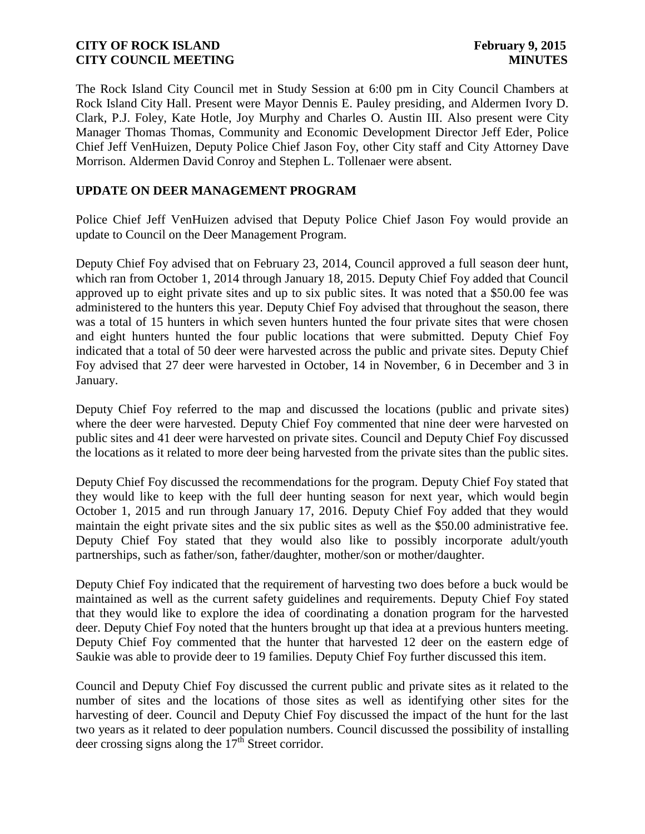The Rock Island City Council met in Study Session at 6:00 pm in City Council Chambers at Rock Island City Hall. Present were Mayor Dennis E. Pauley presiding, and Aldermen Ivory D. Clark, P.J. Foley, Kate Hotle, Joy Murphy and Charles O. Austin III. Also present were City Manager Thomas Thomas, Community and Economic Development Director Jeff Eder, Police Chief Jeff VenHuizen, Deputy Police Chief Jason Foy, other City staff and City Attorney Dave Morrison. Aldermen David Conroy and Stephen L. Tollenaer were absent.

# **UPDATE ON DEER MANAGEMENT PROGRAM**

Police Chief Jeff VenHuizen advised that Deputy Police Chief Jason Foy would provide an update to Council on the Deer Management Program.

Deputy Chief Foy advised that on February 23, 2014, Council approved a full season deer hunt, which ran from October 1, 2014 through January 18, 2015. Deputy Chief Foy added that Council approved up to eight private sites and up to six public sites. It was noted that a \$50.00 fee was administered to the hunters this year. Deputy Chief Foy advised that throughout the season, there was a total of 15 hunters in which seven hunters hunted the four private sites that were chosen and eight hunters hunted the four public locations that were submitted. Deputy Chief Foy indicated that a total of 50 deer were harvested across the public and private sites. Deputy Chief Foy advised that 27 deer were harvested in October, 14 in November, 6 in December and 3 in January.

Deputy Chief Foy referred to the map and discussed the locations (public and private sites) where the deer were harvested. Deputy Chief Foy commented that nine deer were harvested on public sites and 41 deer were harvested on private sites. Council and Deputy Chief Foy discussed the locations as it related to more deer being harvested from the private sites than the public sites.

Deputy Chief Foy discussed the recommendations for the program. Deputy Chief Foy stated that they would like to keep with the full deer hunting season for next year, which would begin October 1, 2015 and run through January 17, 2016. Deputy Chief Foy added that they would maintain the eight private sites and the six public sites as well as the \$50.00 administrative fee. Deputy Chief Foy stated that they would also like to possibly incorporate adult/youth partnerships, such as father/son, father/daughter, mother/son or mother/daughter.

Deputy Chief Foy indicated that the requirement of harvesting two does before a buck would be maintained as well as the current safety guidelines and requirements. Deputy Chief Foy stated that they would like to explore the idea of coordinating a donation program for the harvested deer. Deputy Chief Foy noted that the hunters brought up that idea at a previous hunters meeting. Deputy Chief Foy commented that the hunter that harvested 12 deer on the eastern edge of Saukie was able to provide deer to 19 families. Deputy Chief Foy further discussed this item.

Council and Deputy Chief Foy discussed the current public and private sites as it related to the number of sites and the locations of those sites as well as identifying other sites for the harvesting of deer. Council and Deputy Chief Foy discussed the impact of the hunt for the last two years as it related to deer population numbers. Council discussed the possibility of installing deer crossing signs along the  $17<sup>th</sup>$  Street corridor.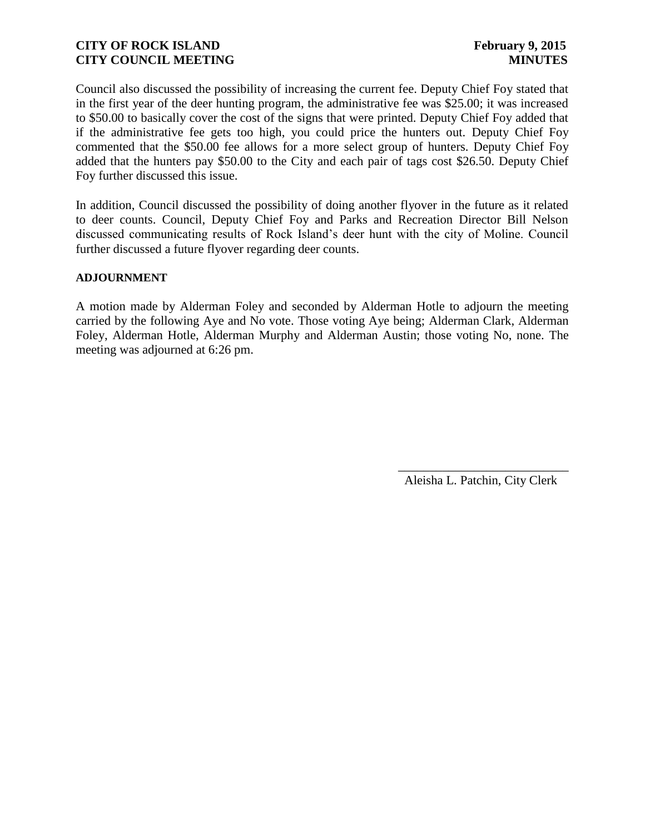Council also discussed the possibility of increasing the current fee. Deputy Chief Foy stated that in the first year of the deer hunting program, the administrative fee was \$25.00; it was increased to \$50.00 to basically cover the cost of the signs that were printed. Deputy Chief Foy added that if the administrative fee gets too high, you could price the hunters out. Deputy Chief Foy commented that the \$50.00 fee allows for a more select group of hunters. Deputy Chief Foy added that the hunters pay \$50.00 to the City and each pair of tags cost \$26.50. Deputy Chief Foy further discussed this issue.

In addition, Council discussed the possibility of doing another flyover in the future as it related to deer counts. Council, Deputy Chief Foy and Parks and Recreation Director Bill Nelson discussed communicating results of Rock Island's deer hunt with the city of Moline. Council further discussed a future flyover regarding deer counts.

#### **ADJOURNMENT**

A motion made by Alderman Foley and seconded by Alderman Hotle to adjourn the meeting carried by the following Aye and No vote. Those voting Aye being; Alderman Clark, Alderman Foley, Alderman Hotle, Alderman Murphy and Alderman Austin; those voting No, none. The meeting was adjourned at 6:26 pm.

Aleisha L. Patchin, City Clerk

 $\frac{1}{2}$  ,  $\frac{1}{2}$  ,  $\frac{1}{2}$  ,  $\frac{1}{2}$  ,  $\frac{1}{2}$  ,  $\frac{1}{2}$  ,  $\frac{1}{2}$  ,  $\frac{1}{2}$  ,  $\frac{1}{2}$  ,  $\frac{1}{2}$  ,  $\frac{1}{2}$  ,  $\frac{1}{2}$  ,  $\frac{1}{2}$  ,  $\frac{1}{2}$  ,  $\frac{1}{2}$  ,  $\frac{1}{2}$  ,  $\frac{1}{2}$  ,  $\frac{1}{2}$  ,  $\frac{1$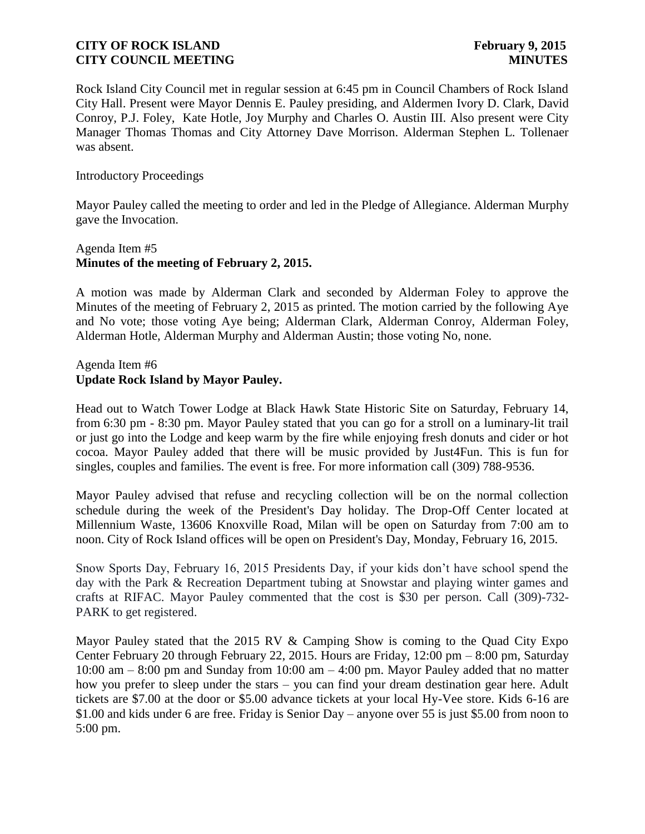Rock Island City Council met in regular session at 6:45 pm in Council Chambers of Rock Island City Hall. Present were Mayor Dennis E. Pauley presiding, and Aldermen Ivory D. Clark, David Conroy, P.J. Foley, Kate Hotle, Joy Murphy and Charles O. Austin III. Also present were City Manager Thomas Thomas and City Attorney Dave Morrison. Alderman Stephen L. Tollenaer was absent.

#### Introductory Proceedings

Mayor Pauley called the meeting to order and led in the Pledge of Allegiance. Alderman Murphy gave the Invocation.

# Agenda Item #5 **Minutes of the meeting of February 2, 2015.**

A motion was made by Alderman Clark and seconded by Alderman Foley to approve the Minutes of the meeting of February 2, 2015 as printed. The motion carried by the following Aye and No vote; those voting Aye being; Alderman Clark, Alderman Conroy, Alderman Foley, Alderman Hotle, Alderman Murphy and Alderman Austin; those voting No, none.

# Agenda Item #6 **Update Rock Island by Mayor Pauley.**

Head out to Watch Tower Lodge at Black Hawk State Historic Site on Saturday, February 14, from 6:30 pm - 8:30 pm. Mayor Pauley stated that you can go for a stroll on a luminary-lit trail or just go into the Lodge and keep warm by the fire while enjoying fresh donuts and cider or hot cocoa. Mayor Pauley added that there will be music provided by Just4Fun. This is fun for singles, couples and families. The event is free. For more information call (309) 788-9536.

Mayor Pauley advised that refuse and recycling collection will be on the normal collection schedule during the week of the President's Day holiday. The Drop-Off Center located at Millennium Waste, 13606 Knoxville Road, Milan will be open on Saturday from 7:00 am to noon. City of Rock Island offices will be open on President's Day, Monday, February 16, 2015.

Snow Sports Day, February 16, 2015 Presidents Day, if your kids don't have school spend the day with the Park & Recreation Department tubing at Snowstar and playing winter games and crafts at RIFAC. Mayor Pauley commented that the cost is \$30 per person. Call (309)-732- PARK to get registered.

Mayor Pauley stated that the 2015 RV & Camping Show is coming to the Quad City Expo Center February 20 through February 22, 2015. Hours are Friday, 12:00 pm – 8:00 pm, Saturday 10:00 am – 8:00 pm and Sunday from 10:00 am – 4:00 pm. Mayor Pauley added that no matter how you prefer to sleep under the stars – you can find your dream destination gear here. Adult tickets are \$7.00 at the door or \$5.00 advance tickets at your local Hy-Vee store. Kids 6-16 are \$1.00 and kids under 6 are free. Friday is Senior Day – anyone over 55 is just \$5.00 from noon to 5:00 pm.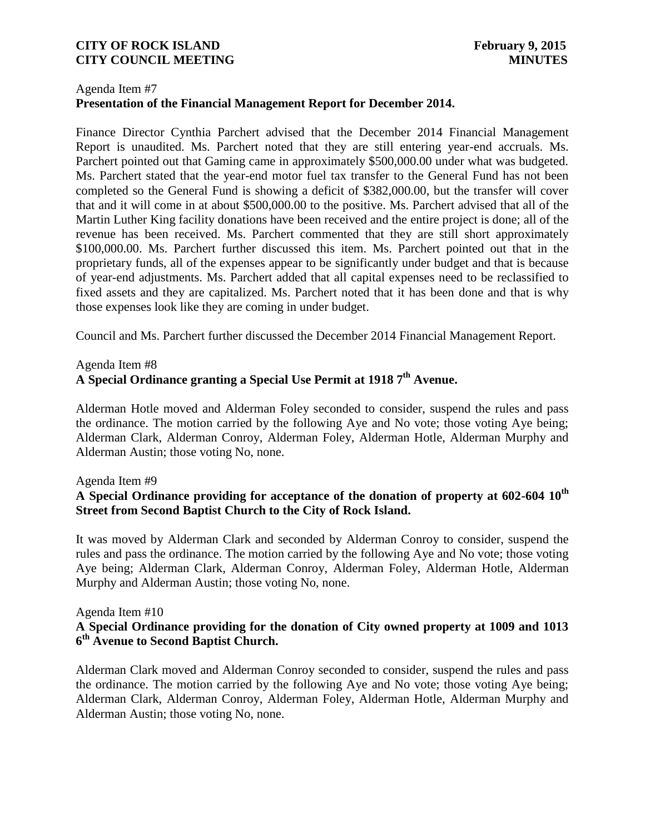# Agenda Item #7 **Presentation of the Financial Management Report for December 2014.**

Finance Director Cynthia Parchert advised that the December 2014 Financial Management Report is unaudited. Ms. Parchert noted that they are still entering year-end accruals. Ms. Parchert pointed out that Gaming came in approximately \$500,000.00 under what was budgeted. Ms. Parchert stated that the year-end motor fuel tax transfer to the General Fund has not been completed so the General Fund is showing a deficit of \$382,000.00, but the transfer will cover that and it will come in at about \$500,000.00 to the positive. Ms. Parchert advised that all of the Martin Luther King facility donations have been received and the entire project is done; all of the revenue has been received. Ms. Parchert commented that they are still short approximately \$100,000.00. Ms. Parchert further discussed this item. Ms. Parchert pointed out that in the proprietary funds, all of the expenses appear to be significantly under budget and that is because of year-end adjustments. Ms. Parchert added that all capital expenses need to be reclassified to fixed assets and they are capitalized. Ms. Parchert noted that it has been done and that is why those expenses look like they are coming in under budget.

Council and Ms. Parchert further discussed the December 2014 Financial Management Report.

# Agenda Item #8

# **A Special Ordinance granting a Special Use Permit at 1918 7th Avenue.**

Alderman Hotle moved and Alderman Foley seconded to consider, suspend the rules and pass the ordinance. The motion carried by the following Aye and No vote; those voting Aye being; Alderman Clark, Alderman Conroy, Alderman Foley, Alderman Hotle, Alderman Murphy and Alderman Austin; those voting No, none.

#### Agenda Item #9

# **A Special Ordinance providing for acceptance of the donation of property at 602-604 10th Street from Second Baptist Church to the City of Rock Island.**

It was moved by Alderman Clark and seconded by Alderman Conroy to consider, suspend the rules and pass the ordinance. The motion carried by the following Aye and No vote; those voting Aye being; Alderman Clark, Alderman Conroy, Alderman Foley, Alderman Hotle, Alderman Murphy and Alderman Austin; those voting No, none.

#### Agenda Item #10

# **A Special Ordinance providing for the donation of City owned property at 1009 and 1013 6 th Avenue to Second Baptist Church.**

Alderman Clark moved and Alderman Conroy seconded to consider, suspend the rules and pass the ordinance. The motion carried by the following Aye and No vote; those voting Aye being; Alderman Clark, Alderman Conroy, Alderman Foley, Alderman Hotle, Alderman Murphy and Alderman Austin; those voting No, none.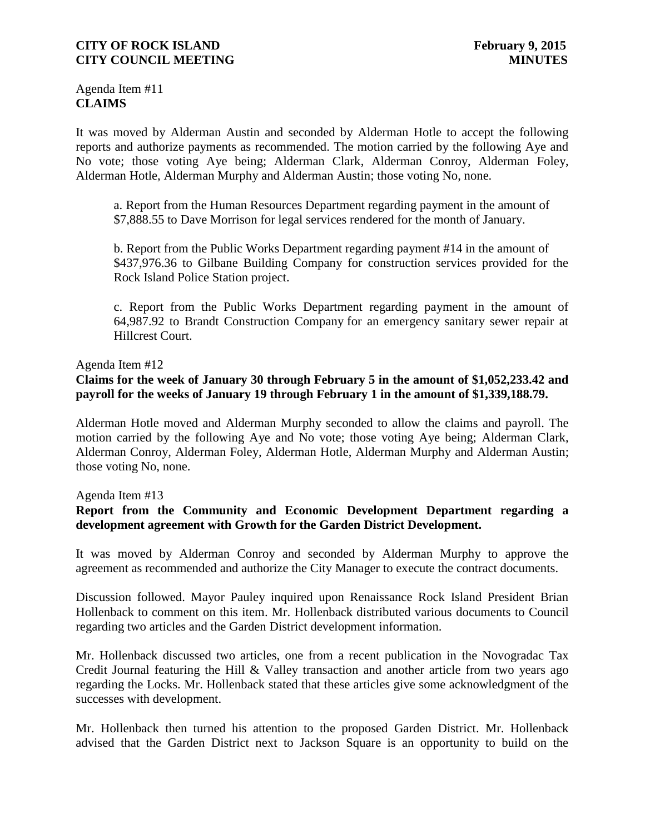Agenda Item #11 **CLAIMS**

It was moved by Alderman Austin and seconded by Alderman Hotle to accept the following reports and authorize payments as recommended. The motion carried by the following Aye and No vote; those voting Aye being; Alderman Clark, Alderman Conroy, Alderman Foley, Alderman Hotle, Alderman Murphy and Alderman Austin; those voting No, none.

 a. Report from the Human Resources Department regarding payment in the amount of \$7,888.55 to Dave Morrison for legal services rendered for the month of January.

b. Report from the Public Works Department regarding payment #14 in the amount of \$437,976.36 to Gilbane Building Company for construction services provided for the Rock Island Police Station project.

c. Report from the Public Works Department regarding payment in the amount of 64,987.92 to Brandt Construction Company for an emergency sanitary sewer repair at Hillcrest Court.

Agenda Item #12

### **Claims for the week of January 30 through February 5 in the amount of \$1,052,233.42 and payroll for the weeks of January 19 through February 1 in the amount of \$1,339,188.79.**

Alderman Hotle moved and Alderman Murphy seconded to allow the claims and payroll. The motion carried by the following Aye and No vote; those voting Aye being; Alderman Clark, Alderman Conroy, Alderman Foley, Alderman Hotle, Alderman Murphy and Alderman Austin; those voting No, none.

#### Agenda Item #13

# **Report from the Community and Economic Development Department regarding a development agreement with Growth for the Garden District Development.**

It was moved by Alderman Conroy and seconded by Alderman Murphy to approve the agreement as recommended and authorize the City Manager to execute the contract documents.

Discussion followed. Mayor Pauley inquired upon Renaissance Rock Island President Brian Hollenback to comment on this item. Mr. Hollenback distributed various documents to Council regarding two articles and the Garden District development information.

Mr. Hollenback discussed two articles, one from a recent publication in the Novogradac Tax Credit Journal featuring the Hill  $\&$  Valley transaction and another article from two years ago regarding the Locks. Mr. Hollenback stated that these articles give some acknowledgment of the successes with development.

Mr. Hollenback then turned his attention to the proposed Garden District. Mr. Hollenback advised that the Garden District next to Jackson Square is an opportunity to build on the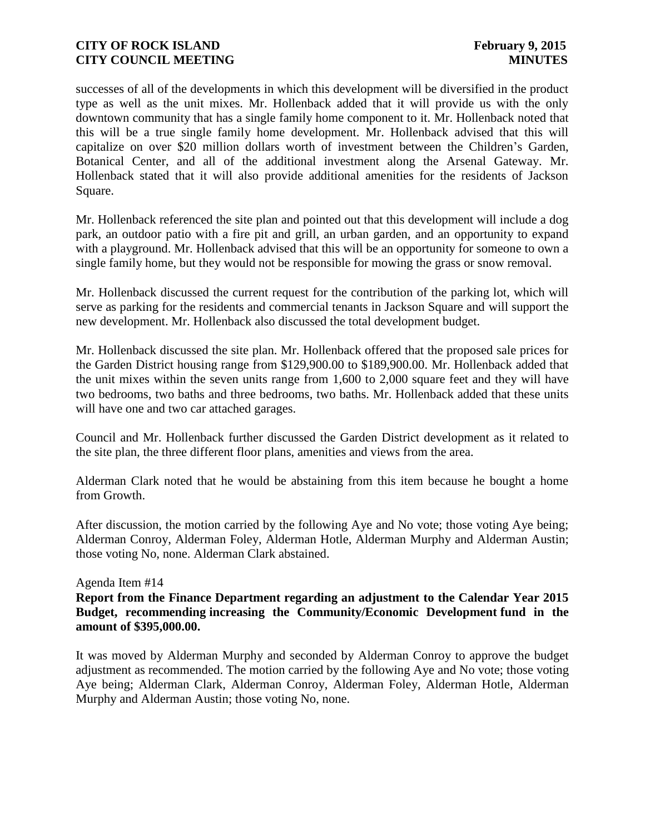successes of all of the developments in which this development will be diversified in the product type as well as the unit mixes. Mr. Hollenback added that it will provide us with the only downtown community that has a single family home component to it. Mr. Hollenback noted that this will be a true single family home development. Mr. Hollenback advised that this will capitalize on over \$20 million dollars worth of investment between the Children's Garden, Botanical Center, and all of the additional investment along the Arsenal Gateway. Mr. Hollenback stated that it will also provide additional amenities for the residents of Jackson Square.

Mr. Hollenback referenced the site plan and pointed out that this development will include a dog park, an outdoor patio with a fire pit and grill, an urban garden, and an opportunity to expand with a playground. Mr. Hollenback advised that this will be an opportunity for someone to own a single family home, but they would not be responsible for mowing the grass or snow removal.

Mr. Hollenback discussed the current request for the contribution of the parking lot, which will serve as parking for the residents and commercial tenants in Jackson Square and will support the new development. Mr. Hollenback also discussed the total development budget.

Mr. Hollenback discussed the site plan. Mr. Hollenback offered that the proposed sale prices for the Garden District housing range from \$129,900.00 to \$189,900.00. Mr. Hollenback added that the unit mixes within the seven units range from 1,600 to 2,000 square feet and they will have two bedrooms, two baths and three bedrooms, two baths. Mr. Hollenback added that these units will have one and two car attached garages.

Council and Mr. Hollenback further discussed the Garden District development as it related to the site plan, the three different floor plans, amenities and views from the area.

Alderman Clark noted that he would be abstaining from this item because he bought a home from Growth.

After discussion, the motion carried by the following Aye and No vote; those voting Aye being; Alderman Conroy, Alderman Foley, Alderman Hotle, Alderman Murphy and Alderman Austin; those voting No, none. Alderman Clark abstained.

#### Agenda Item #14

**Report from the Finance Department regarding an adjustment to the Calendar Year 2015 Budget, recommending increasing the Community/Economic Development fund in the amount of \$395,000.00.** 

It was moved by Alderman Murphy and seconded by Alderman Conroy to approve the budget adjustment as recommended. The motion carried by the following Aye and No vote; those voting Aye being; Alderman Clark, Alderman Conroy, Alderman Foley, Alderman Hotle, Alderman Murphy and Alderman Austin; those voting No, none.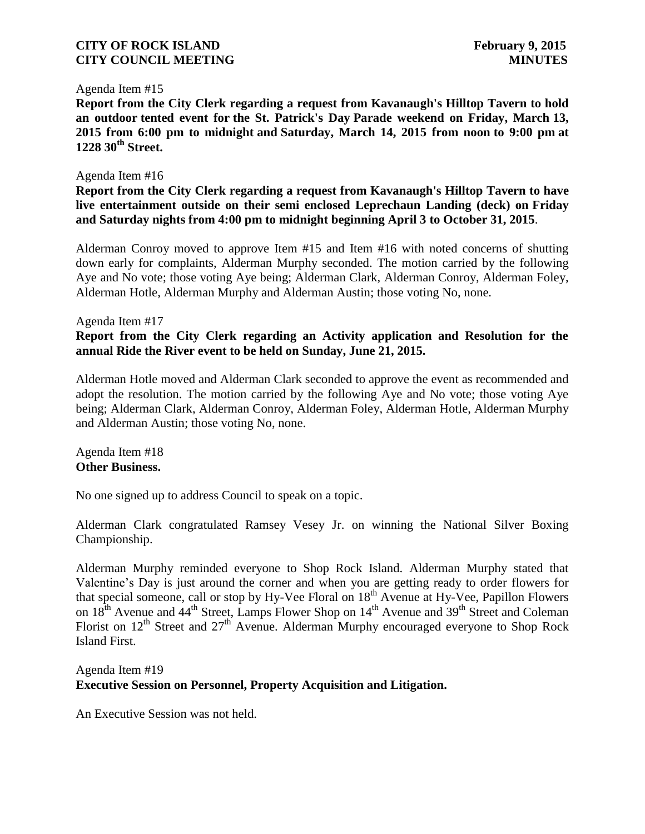#### Agenda Item #15

**Report from the City Clerk regarding a request from Kavanaugh's Hilltop Tavern to hold an outdoor tented event for the St. Patrick's Day Parade weekend on Friday, March 13, 2015 from 6:00 pm to midnight and Saturday, March 14, 2015 from noon to 9:00 pm at 1228 30th Street.** 

#### Agenda Item #16

**Report from the City Clerk regarding a request from Kavanaugh's Hilltop Tavern to have live entertainment outside on their semi enclosed Leprechaun Landing (deck) on Friday and Saturday nights from 4:00 pm to midnight beginning April 3 to October 31, 2015**.

Alderman Conroy moved to approve Item #15 and Item #16 with noted concerns of shutting down early for complaints, Alderman Murphy seconded. The motion carried by the following Aye and No vote; those voting Aye being; Alderman Clark, Alderman Conroy, Alderman Foley, Alderman Hotle, Alderman Murphy and Alderman Austin; those voting No, none.

#### Agenda Item #17

### **Report from the City Clerk regarding an Activity application and Resolution for the annual Ride the River event to be held on Sunday, June 21, 2015.**

Alderman Hotle moved and Alderman Clark seconded to approve the event as recommended and adopt the resolution. The motion carried by the following Aye and No vote; those voting Aye being; Alderman Clark, Alderman Conroy, Alderman Foley, Alderman Hotle, Alderman Murphy and Alderman Austin; those voting No, none.

Agenda Item #18 **Other Business.**

No one signed up to address Council to speak on a topic.

Alderman Clark congratulated Ramsey Vesey Jr. on winning the National Silver Boxing Championship.

Alderman Murphy reminded everyone to Shop Rock Island. Alderman Murphy stated that Valentine's Day is just around the corner and when you are getting ready to order flowers for that special someone, call or stop by Hy-Vee Floral on 18<sup>th</sup> Avenue at Hy-Vee, Papillon Flowers on  $18^{th}$  Avenue and  $44^{th}$  Street, Lamps Flower Shop on  $14^{th}$  Avenue and  $39^{th}$  Street and Coleman Florist on  $12<sup>th</sup>$  Street and  $27<sup>th</sup>$  Avenue. Alderman Murphy encouraged everyone to Shop Rock Island First.

# Agenda Item #19 **Executive Session on Personnel, Property Acquisition and Litigation.**

An Executive Session was not held.